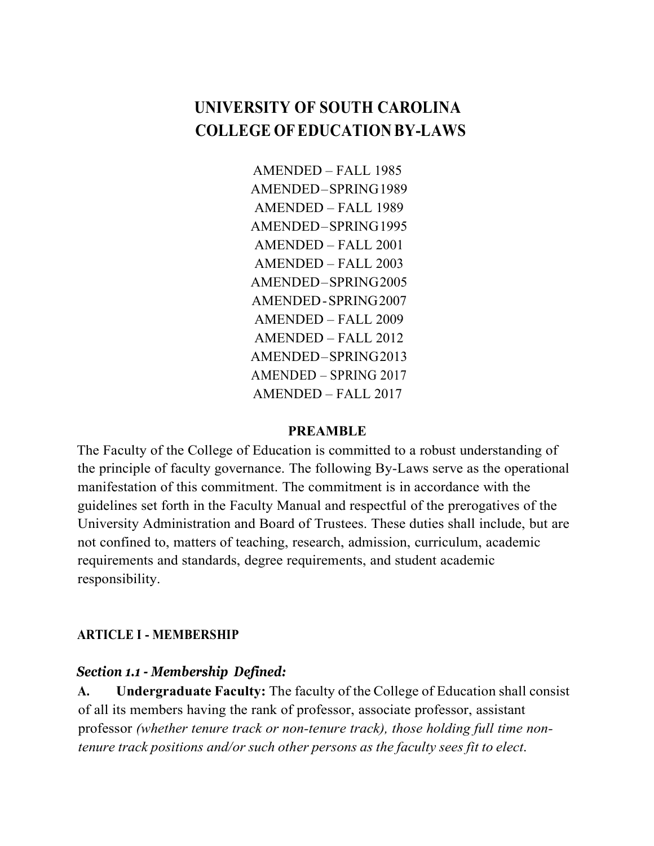# **UNIVERSITY OF SOUTH CAROLINA COLLEGE OFEDUCATION BY-LAWS**

AMENDED – FALL 1985 AMENDED–SPRING1989 AMENDED – FALL 1989 AMENDED–SPRING1995 AMENDED – FALL 2001 AMENDED – FALL 2003 AMENDED–SPRING2005 AMENDED-SPRING2007 AMENDED – FALL 2009 AMENDED – FALL 2012 AMENDED–SPRING2013 AMENDED – SPRING 2017 AMENDED – FALL 2017

#### **PREAMBLE**

The Faculty of the College of Education is committed to a robust understanding of the principle of faculty governance. The following By-Laws serve as the operational manifestation of this commitment. The commitment is in accordance with the guidelines set forth in the Faculty Manual and respectful of the prerogatives of the University Administration and Board of Trustees. These duties shall include, but are not confined to, matters of teaching, research, admission, curriculum, academic requirements and standards, degree requirements, and student academic responsibility.

### **ARTICLE I - MEMBERSHIP**

### *Section 1.1 - Membership Defined:*

**A. Undergraduate Faculty:** The faculty of the College of Education shall consist of all its members having the rank of professor, associate professor, assistant professor *(whether tenure track or non-tenure track), those holding full time nontenure track positions and/or such other persons as the faculty sees fit to elect*.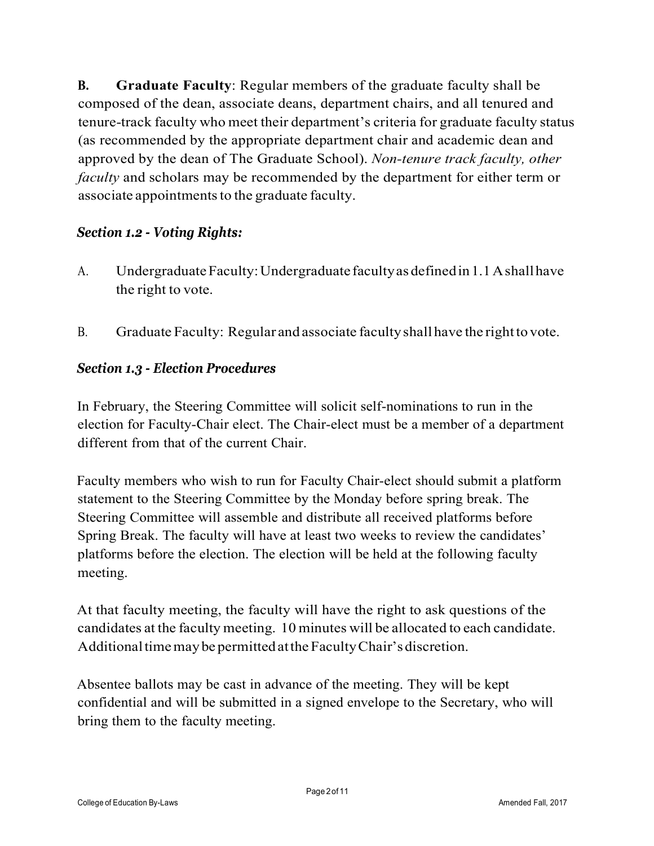**B. Graduate Faculty**: Regular members of the graduate faculty shall be composed of the dean, associate deans, department chairs, and all tenured and tenure-track faculty who meet their department's criteria for graduate faculty status (as recommended by the appropriate department chair and academic dean and approved by the dean of The Graduate School). *Non-tenure track faculty, other faculty* and scholars may be recommended by the department for either term or associate appointments to the graduate faculty.

# *Section 1.2 - Voting Rights:*

- A. Undergraduate Faculty: Undergraduate faculty as defined in 1.1 A shall have the right to vote.
- B. Graduate Faculty: Regular and associate faculty shall have the right to vote.

# *Section 1.3 - Election Procedures*

In February, the Steering Committee will solicit self-nominations to run in the election for Faculty-Chair elect. The Chair-elect must be a member of a department different from that of the current Chair.

Faculty members who wish to run for Faculty Chair-elect should submit a platform statement to the Steering Committee by the Monday before spring break. The Steering Committee will assemble and distribute all received platforms before Spring Break. The faculty will have at least two weeks to review the candidates' platforms before the election. The election will be held at the following faculty meeting.

At that faculty meeting, the faculty will have the right to ask questions of the candidates at the faculty meeting. 10 minutes will be allocated to each candidate. Additional time may be permitted at the Faculty Chair's discretion.

Absentee ballots may be cast in advance of the meeting. They will be kept confidential and will be submitted in a signed envelope to the Secretary, who will bring them to the faculty meeting.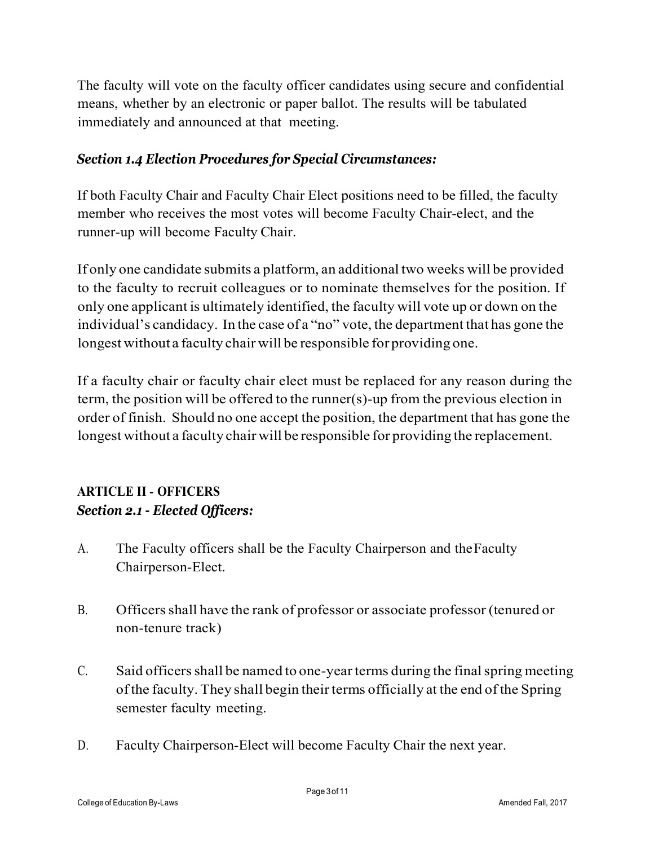The faculty will vote on the faculty officer candidates using secure and confidential means, whether by an electronic or paper ballot. The results will be tabulated immediately and announced at that meeting.

# *Section 1.4 Election Procedures for Special Circumstances:*

If both Faculty Chair and Faculty Chair Elect positions need to be filled, the faculty member who receives the most votes will become Faculty Chair-elect, and the runner-up will become Faculty Chair.

If only one candidate submits a platform, an additional two weeks will be provided to the faculty to recruit colleagues or to nominate themselves for the position. If only one applicant is ultimately identified, the faculty will vote up or down on the individual's candidacy. In the case of a "no" vote, the department that has gone the longest without a faculty chair will be responsible for providing one.

If a faculty chair or faculty chair elect must be replaced for any reason during the term, the position will be offered to the runner(s)-up from the previous election in order of finish. Should no one accept the position, the department that has gone the longest without a faculty chair will be responsible for providing the replacement.

# **ARTICLE II - OFFICERS** *Section 2.1 - Elected Officers:*

- A. The Faculty officers shall be the Faculty Chairperson and theFaculty Chairperson-Elect.
- B. Officersshall have the rank of professor or associate professor (tenured or non-tenure track)
- C. Said officers shall be named to one-year terms during the final spring meeting of the faculty. They shall begin their terms officially at the end of the Spring semester faculty meeting.
- D. Faculty Chairperson-Elect will become Faculty Chair the next year.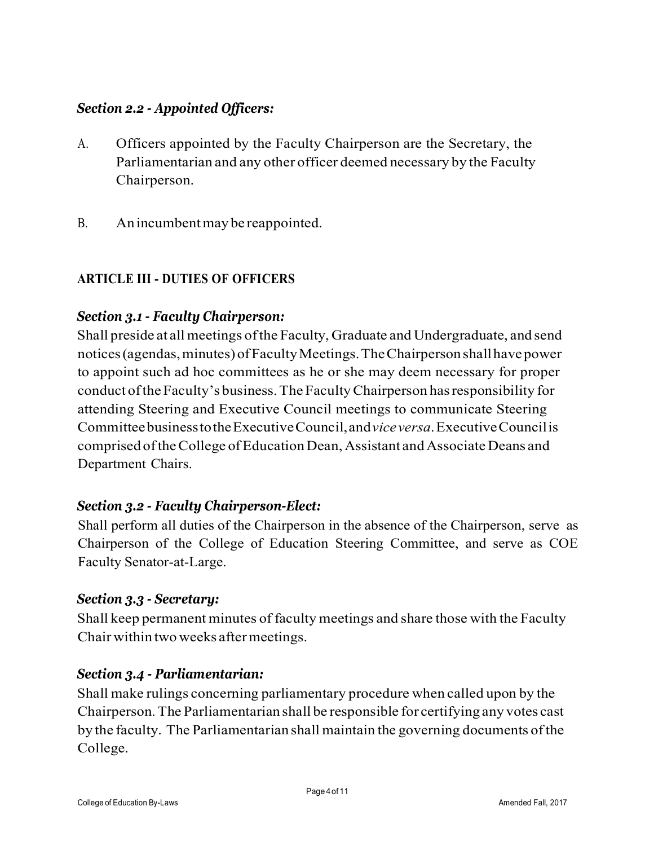# *Section 2.2 - Appointed Officers:*

- A. Officers appointed by the Faculty Chairperson are the Secretary, the Parliamentarian and any other officer deemed necessary by the Faculty Chairperson.
- B. Anincumbentmay be reappointed.

## **ARTICLE III - DUTIES OF OFFICERS**

### *Section 3.1 - Faculty Chairperson:*

Shall preside at allmeetings ofthe Faculty, Graduate and Undergraduate, and send notices (agendas, minutes) of Faculty Meetings. The Chairperson shall have power to appoint such ad hoc committees as he or she may deem necessary for proper conduct ofthe Faculty's business.The FacultyChairperson hasresponsibility for attending Steering and Executive Council meetings to communicate Steering CommitteebusinesstotheExecutiveCouncil,and*viceversa*.ExecutiveCouncilis comprised oftheCollege ofEducationDean,Assistant andAssociate Deans and Department Chairs.

### *Section 3.2 - Faculty Chairperson-Elect:*

Shall perform all duties of the Chairperson in the absence of the Chairperson, serve as Chairperson of the College of Education Steering Committee, and serve as COE Faculty Senator-at-Large.

#### *Section 3.3 - Secretary:*

Shall keep permanent minutes of faculty meetings and share those with the Faculty Chair within two weeks aftermeetings.

### *Section 3.4 - Parliamentarian:*

Shall make rulings concerning parliamentary procedure when called upon by the Chairperson.The Parliamentarian shall be responsible for certifying any votes cast by the faculty. The Parliamentarian shall maintain the governing documents ofthe College.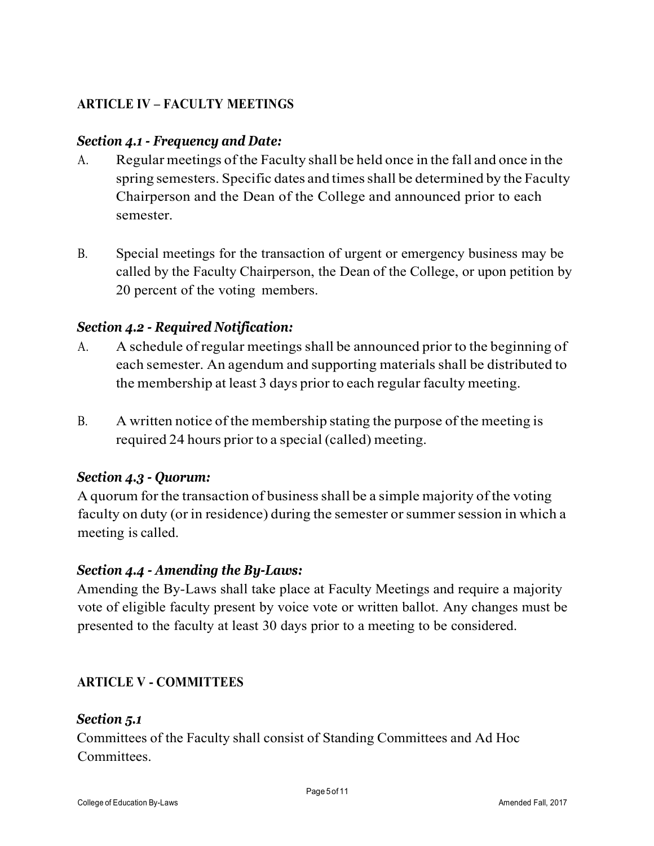# **ARTICLE IV – FACULTY MEETINGS**

### *Section 4.1 - Frequency and Date:*

- A. Regular meetings ofthe Faculty shall be held once in the fall and once in the spring semesters. Specific dates and times shall be determined by the Faculty Chairperson and the Dean of the College and announced prior to each semester.
- B. Special meetings for the transaction of urgent or emergency business may be called by the Faculty Chairperson, the Dean of the College, or upon petition by 20 percent of the voting members.

### *Section 4.2 - Required Notification:*

- A. A schedule of regular meetings shall be announced prior to the beginning of each semester. An agendum and supporting materials shall be distributed to the membership at least 3 days prior to each regular faculty meeting.
- B. A written notice of the membership stating the purpose of the meeting is required 24 hours prior to a special (called) meeting.

### *Section 4.3 - Quorum:*

A quorum for the transaction of businessshall be a simple majority of the voting faculty on duty (or in residence) during the semester or summer session in which a meeting is called.

#### *Section 4.4 - Amending the By-Laws:*

Amending the By-Laws shall take place at Faculty Meetings and require a majority vote of eligible faculty present by voice vote or written ballot. Any changes must be presented to the faculty at least 30 days prior to a meeting to be considered.

### **ARTICLE V - COMMITTEES**

#### *Section 5.1*

Committees of the Faculty shall consist of Standing Committees and Ad Hoc **Committees**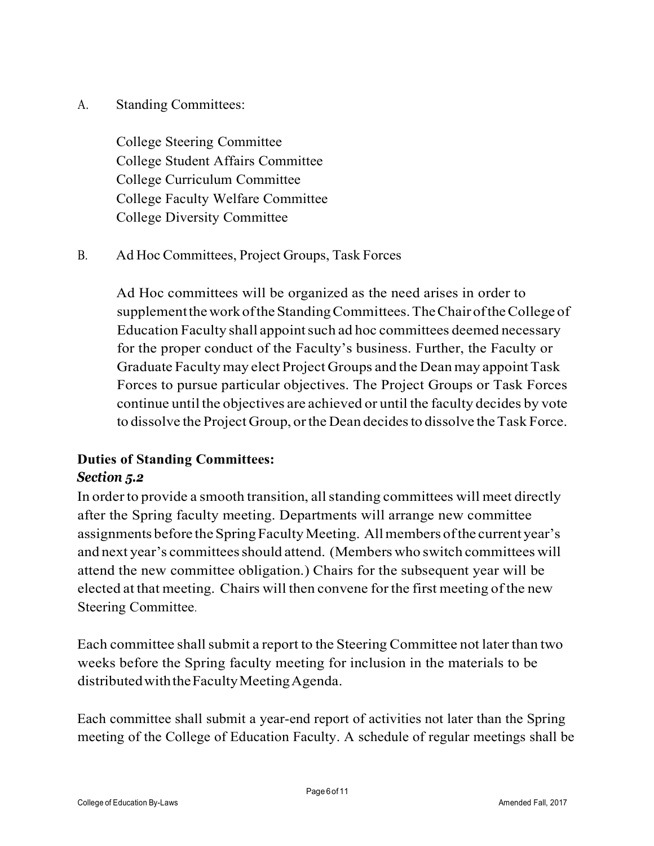A. Standing Committees:

College Steering Committee College Student Affairs Committee College Curriculum Committee College Faculty Welfare Committee College Diversity Committee

B. Ad Hoc Committees, Project Groups, Task Forces

Ad Hoc committees will be organized as the need arises in order to supplement the work of the Standing Committees. The Chair of the College of Education Faculty shall appoint such ad hoc committees deemed necessary for the proper conduct of the Faculty's business. Further, the Faculty or Graduate Facultymay elect Project Groups and the Deanmay appointTask Forces to pursue particular objectives. The Project Groups or Task Forces continue until the objectives are achieved or until the faculty decides by vote to dissolve the Project Group, or the Dean decides to dissolve the Task Force.

# **Duties of Standing Committees:** *Section 5.2*

In order to provide a smooth transition, all standing committees will meet directly after the Spring faculty meeting. Departments will arrange new committee assignments before the Spring Faculty Meeting. All members of the current year's and next year's committees should attend. (Members who switch committees will attend the new committee obligation.) Chairs for the subsequent year will be elected at that meeting. Chairs will then convene forthe first meeting of the new Steering Committee.

Each committee shall submit a report to the Steering Committee not later than two weeks before the Spring faculty meeting for inclusion in the materials to be distributed with the Faculty Meeting Agenda.

Each committee shall submit a year-end report of activities not later than the Spring meeting of the College of Education Faculty. A schedule of regular meetings shall be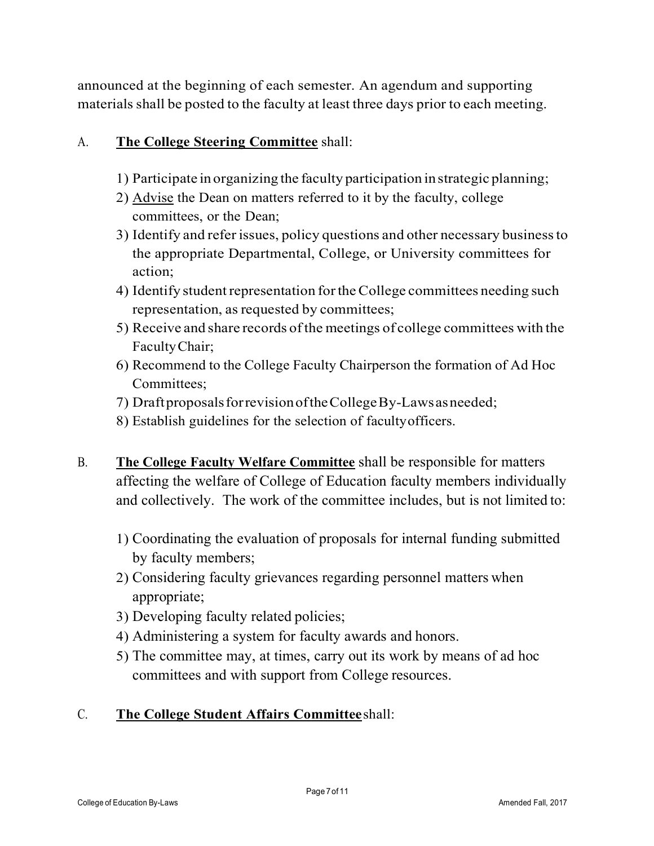announced at the beginning of each semester. An agendum and supporting materials shall be posted to the faculty at least three days prior to each meeting.

# A. **The College Steering Committee** shall:

- 1) Participate in organizing the faculty participation instrategic planning;
- 2) Advise the Dean on matters referred to it by the faculty, college committees, or the Dean;
- 3) Identify and referissues, policy questions and other necessary businessto the appropriate Departmental, College, or University committees for action;
- 4) Identify studentrepresentation fortheCollege committees needing such representation, as requested by committees;
- 5) Receive and share records ofthe meetings of college committees with the FacultyChair;
- 6) Recommend to the College Faculty Chairperson the formation of Ad Hoc Committees;
- 7) DraftproposalsforrevisionoftheCollegeBy-Lawsasneeded;
- 8) Establish guidelines for the selection of facultyofficers.
- B. **The College Faculty Welfare Committee** shall be responsible for matters affecting the welfare of College of Education faculty members individually and collectively. The work of the committee includes, but is not limited to:
	- 1) Coordinating the evaluation of proposals for internal funding submitted by faculty members;
	- 2) Considering faculty grievances regarding personnel matters when appropriate;
	- 3) Developing faculty related policies;
	- 4) Administering a system for faculty awards and honors.
	- 5) The committee may, at times, carry out its work by means of ad hoc committees and with support from College resources.

# C. **The College Student Affairs Committee**shall: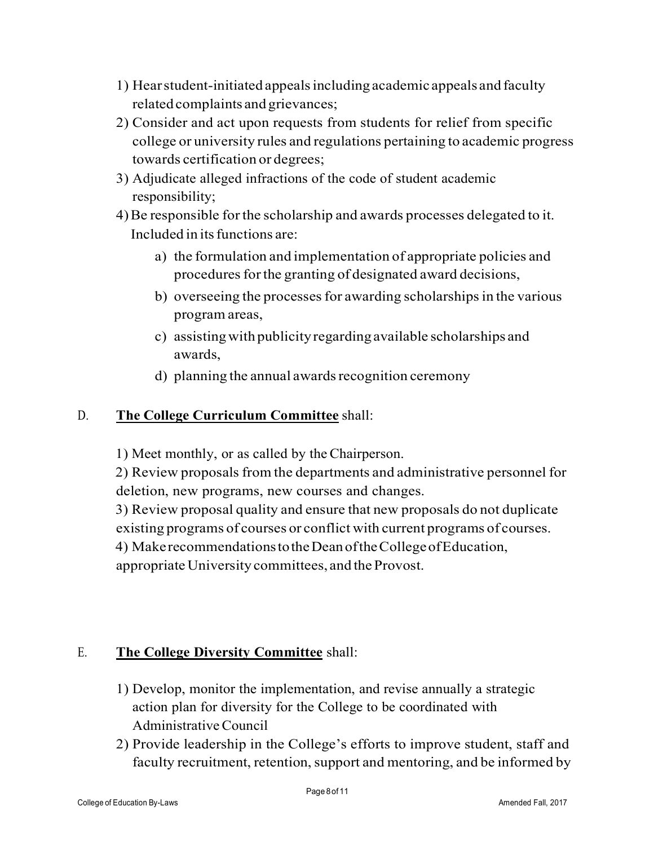- 1) Hearstudent-initiated appealsincluding academic appeals and faculty relatedcomplaints and grievances;
- 2) Consider and act upon requests from students for relief from specific college or university rules and regulations pertaining to academic progress towards certification or degrees;
- 3) Adjudicate alleged infractions of the code of student academic responsibility;
- 4)Be responsible forthe scholarship and awards processes delegated to it. Included in its functions are:
	- a) the formulation and implementation of appropriate policies and procedures for the granting of designated award decisions,
	- b) overseeing the processes for awarding scholarships in the various program areas,
	- c) assistingwith publicityregardingavailable scholarships and awards,
	- d) planning the annual awards recognition ceremony

# D. **The College Curriculum Committee** shall:

1) Meet monthly, or as called by the Chairperson.

2) Review proposals from the departments and administrative personnel for deletion, new programs, new courses and changes.

3) Review proposal quality and ensure that new proposals do not duplicate existing programs of courses or conflict with current programs of courses.

4) MakerecommendationstotheDeanoftheCollegeofEducation,

appropriate University committees, and the Provost.

# E. **The College Diversity Committee** shall:

- 1) Develop, monitor the implementation, and revise annually a strategic action plan for diversity for the College to be coordinated with AdministrativeCouncil
- 2) Provide leadership in the College's efforts to improve student, staff and faculty recruitment, retention, support and mentoring, and be informed by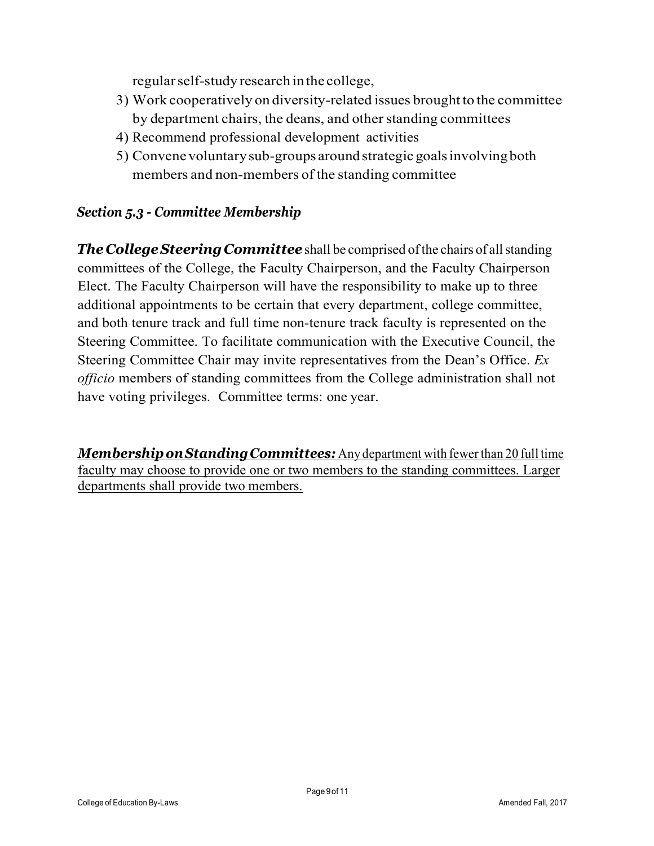regularself-study research inthe college,

- 3) Work cooperatively on diversity-related issues brought to the committee by department chairs, the deans, and other standing committees
- 4) Recommend professional development activities
- 5) Convenevoluntarysub-groups aroundstrategic goalsinvolvingboth members and non-members of the standing committee

# *Section 5.3 - Committee Membership*

*The* College *Steering Committee* shall be comprised of the chairs of all standing committees of the College, the Faculty Chairperson, and the Faculty Chairperson Elect. The Faculty Chairperson will have the responsibility to make up to three additional appointments to be certain that every department, college committee, and both tenure track and full time non-tenure track faculty is represented on the Steering Committee. To facilitate communication with the Executive Council, the Steering Committee Chair may invite representatives from the Dean's Office. *Ex officio* members of standing committees from the College administration shall not have voting privileges. Committee terms: one year.

*MembershiponStandingCommittees:* Any department with fewer than 20 full time faculty may choose to provide one or two members to the standing committees. Larger departments shall provide two members.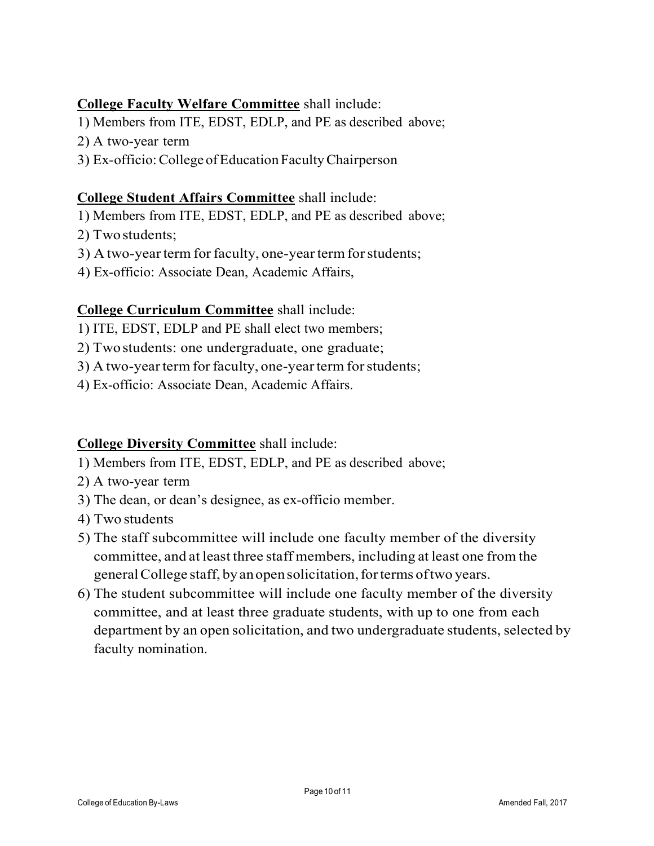# **College Faculty Welfare Committee** shall include:

- 1) Members from ITE, EDST, EDLP, and PE as described above;
- 2) A two-year term
- 3) Ex-officio:College ofEducation FacultyChairperson

### **College Student Affairs Committee** shall include:

- 1) Members from ITE, EDST, EDLP, and PE as described above;
- 2) Twostudents;
- 3) A two-year term for faculty, one-year term for students;
- 4) Ex-officio: Associate Dean, Academic Affairs,

## **College Curriculum Committee** shall include:

- 1) ITE, EDST, EDLP and PE shall elect two members;
- 2) Twostudents: one undergraduate, one graduate;
- 3) A two-year term for faculty, one-year term for students;
- 4) Ex-officio: Associate Dean, Academic Affairs.

### **College Diversity Committee** shall include:

- 1) Members from ITE, EDST, EDLP, and PE as described above;
- 2) A two-year term
- 3) The dean, or dean's designee, as ex-officio member.
- 4) Two students
- 5) The staff subcommittee will include one faculty member of the diversity committee, and at least three staff members, including at least one from the generalCollege staff, byanopensolicitation,forterms oftwo years.
- 6) The student subcommittee will include one faculty member of the diversity committee, and at least three graduate students, with up to one from each department by an open solicitation, and two undergraduate students, selected by faculty nomination.